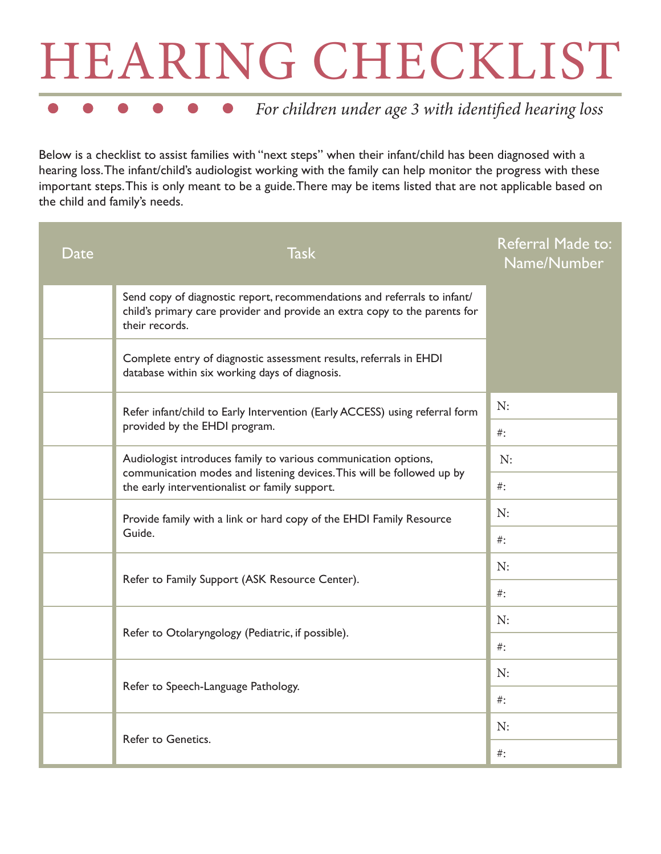## HEARING CHECKLIST

## *For children under age 3 with identified hearing loss*

Below is a checklist to assist families with "next steps" when their infant/child has been diagnosed with a hearing loss. The infant/child's audiologist working with the family can help monitor the progress with these important steps. This is only meant to be a guide. There may be items listed that are not applicable based on the child and family's needs.

| Date | <b>Task</b>                                                                                                                                                                                 | Referral Made to:<br>Name/Number |
|------|---------------------------------------------------------------------------------------------------------------------------------------------------------------------------------------------|----------------------------------|
|      | Send copy of diagnostic report, recommendations and referrals to infant/<br>child's primary care provider and provide an extra copy to the parents for<br>their records.                    |                                  |
|      | Complete entry of diagnostic assessment results, referrals in EHDI<br>database within six working days of diagnosis.                                                                        |                                  |
|      | Refer infant/child to Early Intervention (Early ACCESS) using referral form<br>provided by the EHDI program.                                                                                | N:                               |
|      |                                                                                                                                                                                             | $#$ :                            |
|      | Audiologist introduces family to various communication options,<br>communication modes and listening devices. This will be followed up by<br>the early interventionalist or family support. | N:                               |
|      |                                                                                                                                                                                             | $\#$ :                           |
|      | Provide family with a link or hard copy of the EHDI Family Resource<br>Guide.                                                                                                               | N:                               |
|      |                                                                                                                                                                                             | $#$ :                            |
|      | Refer to Family Support (ASK Resource Center).                                                                                                                                              | N:                               |
|      |                                                                                                                                                                                             | $#$ :                            |
|      | Refer to Otolaryngology (Pediatric, if possible).                                                                                                                                           | N:                               |
|      |                                                                                                                                                                                             | $\#$ :                           |
|      | Refer to Speech-Language Pathology.                                                                                                                                                         | N:                               |
|      |                                                                                                                                                                                             | $\#$ :                           |
|      | Refer to Genetics.                                                                                                                                                                          | N:                               |
|      |                                                                                                                                                                                             | $\#$ :                           |